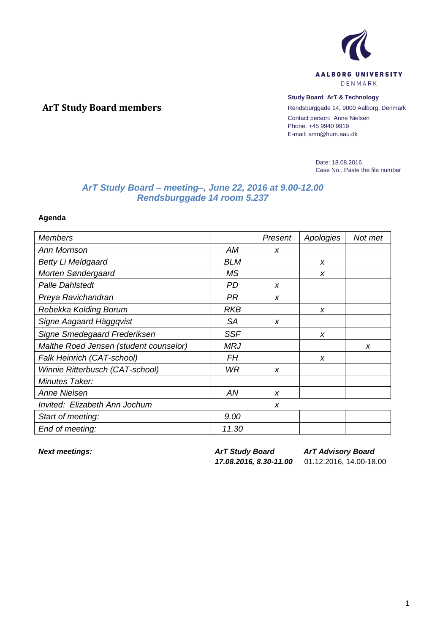

## **Study Board ArT & Technology**

Rendsburggade 14, 9000 Aalborg, Denmark Contact person: Anne Nielsen Phone: +45 9940 9919 E-mail: amn@hum.aau.dk

> Date: 18.08.2016 Case No.: Paste the file number

## *ArT Study Board – meeting–, June 22, 2016 at 9.00-12.00 Rendsburggade 14 room 5.237*

**Agenda**

**ArT Study Board members**

| <b>Members</b>                         |            | Present          | Apologies | Not met |
|----------------------------------------|------------|------------------|-----------|---------|
| <b>Ann Morrison</b>                    | AM         | X                |           |         |
| <b>Betty Li Meldgaard</b>              | <b>BLM</b> |                  | x         |         |
| Morten Søndergaard                     | <b>MS</b>  |                  | x         |         |
| <b>Palle Dahlstedt</b>                 | PD         | $\boldsymbol{x}$ |           |         |
| Preya Ravichandran                     | <b>PR</b>  | $\boldsymbol{x}$ |           |         |
| Rebekka Kolding Borum                  | <b>RKB</b> |                  | x         |         |
| Signe Aagaard Häggqvist                | SA         | X                |           |         |
| Signe Smedegaard Frederiksen           | <b>SSF</b> |                  | x         |         |
| Malthe Roed Jensen (student counselor) | <b>MRJ</b> |                  |           | x       |
| Falk Heinrich (CAT-school)             | FН         |                  | x         |         |
| Winnie Ritterbusch (CAT-school)        | WR         | $\boldsymbol{x}$ |           |         |
| Minutes Taker:                         |            |                  |           |         |
| <b>Anne Nielsen</b>                    | ΑN         | X                |           |         |
| Invited: Elizabeth Ann Jochum          |            | x                |           |         |
| Start of meeting:                      | 9.00       |                  |           |         |
| End of meeting:                        | 11.30      |                  |           |         |

*Next meetings: ArT Study Board*

*ArT Advisory Board*

*17.08.2016, 8.30-11.00* 01.12.2016, 14.00-18.00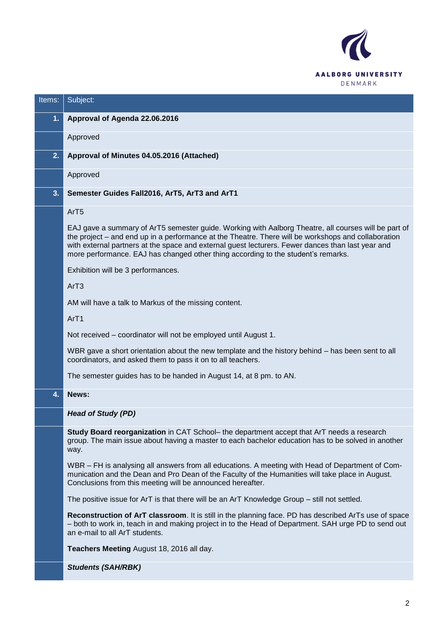

| Items:         | Subject:                                                                                                                                                                                                                                                                                                                                                                                              |
|----------------|-------------------------------------------------------------------------------------------------------------------------------------------------------------------------------------------------------------------------------------------------------------------------------------------------------------------------------------------------------------------------------------------------------|
| 1 <sub>1</sub> | Approval of Agenda 22.06.2016                                                                                                                                                                                                                                                                                                                                                                         |
|                | Approved                                                                                                                                                                                                                                                                                                                                                                                              |
| 2.             | Approval of Minutes 04.05.2016 (Attached)                                                                                                                                                                                                                                                                                                                                                             |
|                | Approved                                                                                                                                                                                                                                                                                                                                                                                              |
| 3.             | Semester Guides Fall2016, ArT5, ArT3 and ArT1                                                                                                                                                                                                                                                                                                                                                         |
|                | ArT <sub>5</sub>                                                                                                                                                                                                                                                                                                                                                                                      |
|                | EAJ gave a summary of ArT5 semester guide. Working with Aalborg Theatre, all courses will be part of<br>the project – and end up in a performance at the Theatre. There will be workshops and collaboration<br>with external partners at the space and external guest lecturers. Fewer dances than last year and<br>more performance. EAJ has changed other thing according to the student's remarks. |
|                | Exhibition will be 3 performances.                                                                                                                                                                                                                                                                                                                                                                    |
|                | ArT3                                                                                                                                                                                                                                                                                                                                                                                                  |
|                | AM will have a talk to Markus of the missing content.                                                                                                                                                                                                                                                                                                                                                 |
|                | ArT1                                                                                                                                                                                                                                                                                                                                                                                                  |
|                | Not received – coordinator will not be employed until August 1.                                                                                                                                                                                                                                                                                                                                       |
|                | WBR gave a short orientation about the new template and the history behind – has been sent to all<br>coordinators, and asked them to pass it on to all teachers.                                                                                                                                                                                                                                      |
|                | The semester guides has to be handed in August 14, at 8 pm. to AN.                                                                                                                                                                                                                                                                                                                                    |
| 4.             | News:                                                                                                                                                                                                                                                                                                                                                                                                 |
|                | <b>Head of Study (PD)</b>                                                                                                                                                                                                                                                                                                                                                                             |
|                | Study Board reorganization in CAT School- the department accept that ArT needs a research<br>group. The main issue about having a master to each bachelor education has to be solved in another<br>way.                                                                                                                                                                                               |
|                | WBR – FH is analysing all answers from all educations. A meeting with Head of Department of Com-<br>munication and the Dean and Pro Dean of the Faculty of the Humanities will take place in August.<br>Conclusions from this meeting will be announced hereafter.                                                                                                                                    |
|                | The positive issue for ArT is that there will be an ArT Knowledge Group - still not settled.                                                                                                                                                                                                                                                                                                          |
|                | Reconstruction of ArT classroom. It is still in the planning face. PD has described ArTs use of space<br>- both to work in, teach in and making project in to the Head of Department. SAH urge PD to send out<br>an e-mail to all ArT students.                                                                                                                                                       |
|                | Teachers Meeting August 18, 2016 all day.                                                                                                                                                                                                                                                                                                                                                             |
|                |                                                                                                                                                                                                                                                                                                                                                                                                       |

*Students (SAH/RBK)*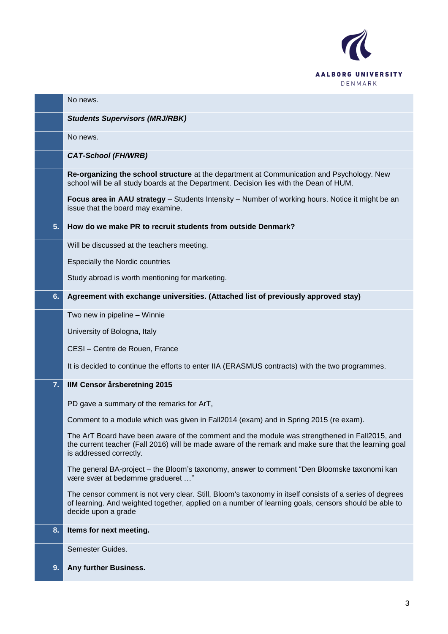

|    | No news.                                                                                                                                                                                                                               |
|----|----------------------------------------------------------------------------------------------------------------------------------------------------------------------------------------------------------------------------------------|
|    | <b>Students Supervisors (MRJ/RBK)</b>                                                                                                                                                                                                  |
|    | No news.                                                                                                                                                                                                                               |
|    | <b>CAT-School (FH/WRB)</b>                                                                                                                                                                                                             |
|    | Re-organizing the school structure at the department at Communication and Psychology. New<br>school will be all study boards at the Department. Decision lies with the Dean of HUM.                                                    |
|    | Focus area in AAU strategy - Students Intensity - Number of working hours. Notice it might be an<br>issue that the board may examine.                                                                                                  |
| 5. | How do we make PR to recruit students from outside Denmark?                                                                                                                                                                            |
|    | Will be discussed at the teachers meeting.                                                                                                                                                                                             |
|    | <b>Especially the Nordic countries</b>                                                                                                                                                                                                 |
|    | Study abroad is worth mentioning for marketing.                                                                                                                                                                                        |
| 6. | Agreement with exchange universities. (Attached list of previously approved stay)                                                                                                                                                      |
|    | Two new in pipeline - Winnie                                                                                                                                                                                                           |
|    | University of Bologna, Italy                                                                                                                                                                                                           |
|    | CESI - Centre de Rouen, France                                                                                                                                                                                                         |
|    | It is decided to continue the efforts to enter IIA (ERASMUS contracts) with the two programmes.                                                                                                                                        |
| 7. | <b>IIM Censor årsberetning 2015</b>                                                                                                                                                                                                    |
|    | PD gave a summary of the remarks for ArT,                                                                                                                                                                                              |
|    | Comment to a module which was given in Fall2014 (exam) and in Spring 2015 (re exam).                                                                                                                                                   |
|    | The ArT Board have been aware of the comment and the module was strengthened in Fall2015, and<br>the current teacher (Fall 2016) will be made aware of the remark and make sure that the learning goal<br>is addressed correctly.      |
|    | The general BA-project – the Bloom's taxonomy, answer to comment "Den Bloomske taxonomi kan<br>være svær at bedømme gradueret "                                                                                                        |
|    | The censor comment is not very clear. Still, Bloom's taxonomy in itself consists of a series of degrees<br>of learning. And weighted together, applied on a number of learning goals, censors should be able to<br>decide upon a grade |
| 8. | Items for next meeting.                                                                                                                                                                                                                |
|    | Semester Guides.                                                                                                                                                                                                                       |
| 9. | Any further Business.                                                                                                                                                                                                                  |